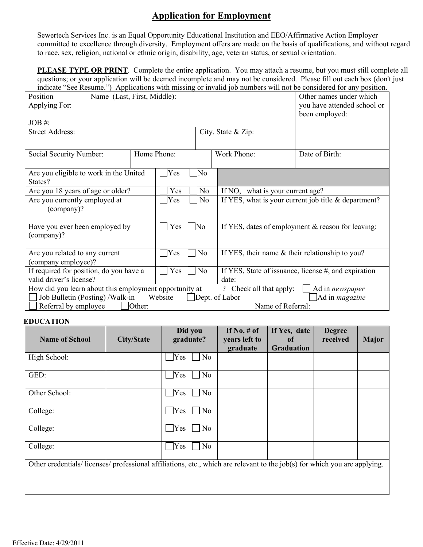## **Application for Employment**

Sewertech Services Inc. is an Equal Opportunity Educational Institution and EEO/Affirmative Action Employer committed to excellence through diversity. Employment offers are made on the basis of qualifications, and without regard to race, sex, religion, national or ethnic origin, disability, age, veteran status, or sexual orientation.

**PLEASE TYPE OR PRINT**. Complete the entire application. You may attach a resume, but you must still complete all questions; or your application will be deemed incomplete and may not be considered. Please fill out each box (don't just indicate "See Resume.") Applications with missing or invalid job numbers will not be considered for any position.

| marcale "Bee Kesume." / Applications with missing of invanta for numbers will not be considered for any position.<br>Name (Last, First, Middle):<br>Position<br>Applying For:<br>JOB#:<br><b>Street Address:</b><br>City, State & Zip: |  |           |                       |                   |                                                      | Other names under which<br>you have attended school or<br>been employed: |  |  |
|----------------------------------------------------------------------------------------------------------------------------------------------------------------------------------------------------------------------------------------|--|-----------|-----------------------|-------------------|------------------------------------------------------|--------------------------------------------------------------------------|--|--|
| Social Security Number:                                                                                                                                                                                                                |  |           | Home Phone:           |                   | Work Phone:                                          | Date of Birth:                                                           |  |  |
| Are you eligible to work in the United<br>States?                                                                                                                                                                                      |  |           | Yes                   | No                |                                                      |                                                                          |  |  |
| Are you 18 years of age or older?                                                                                                                                                                                                      |  |           | Yes                   | N <sub>o</sub>    | If NO, what is your current age?                     |                                                                          |  |  |
| Are you currently employed at<br>(company)?                                                                                                                                                                                            |  |           | Yes                   | No                | If YES, what is your current job title & department? |                                                                          |  |  |
| Have you ever been employed by<br>(company)?                                                                                                                                                                                           |  |           | <b>No</b><br>Yes      |                   |                                                      | If YES, dates of employment & reason for leaving:                        |  |  |
| Are you related to any current<br>(company employee)?                                                                                                                                                                                  |  | Yes<br>No |                       |                   | If YES, their name & their relationship to you?      |                                                                          |  |  |
| If required for position, do you have a                                                                                                                                                                                                |  |           | Yes<br>N <sub>o</sub> |                   |                                                      | If YES, State of issuance, license #, and expiration                     |  |  |
| valid driver's license?                                                                                                                                                                                                                |  |           | date:                 |                   |                                                      |                                                                          |  |  |
| How did you learn about this employment opportunity at<br>? Check all that apply:<br>Ad in newspaper<br>Job Bulletin (Posting) /Walk-in<br>Website<br>Dept. of Labor<br>Ad in <i>magazine</i>                                          |  |           |                       |                   |                                                      |                                                                          |  |  |
| Referral by employee<br>Other:                                                                                                                                                                                                         |  |           |                       | Name of Referral: |                                                      |                                                                          |  |  |

## **EDUCATION**

| <b>Name of School</b>                                                                                                    | <b>City/State</b> | Did you<br>graduate? | If No, $#$ of<br>years left to<br>graduate | If Yes, date<br><sub>of</sub><br><b>Graduation</b> | <b>Degree</b><br>received | <b>Major</b> |
|--------------------------------------------------------------------------------------------------------------------------|-------------------|----------------------|--------------------------------------------|----------------------------------------------------|---------------------------|--------------|
| High School:                                                                                                             |                   | Yes<br>No            |                                            |                                                    |                           |              |
| GED:                                                                                                                     |                   | No<br>Yes            |                                            |                                                    |                           |              |
| Other School:                                                                                                            |                   | Yes<br>No            |                                            |                                                    |                           |              |
| College:                                                                                                                 |                   | $\exists$ Yes<br>No  |                                            |                                                    |                           |              |
| College:                                                                                                                 |                   | Yes<br>No            |                                            |                                                    |                           |              |
| College:                                                                                                                 |                   | Yes<br>No            |                                            |                                                    |                           |              |
| Other credentials/licenses/professional affiliations, etc., which are relevant to the job(s) for which you are applying. |                   |                      |                                            |                                                    |                           |              |
|                                                                                                                          |                   |                      |                                            |                                                    |                           |              |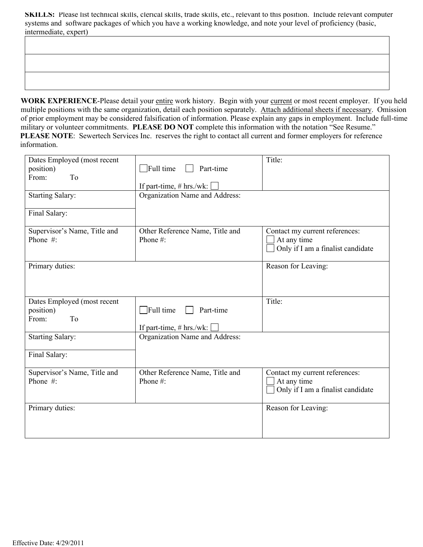**SKILLS:** Please list technical skills, clerical skills, trade skills, etc., relevant to this position. Include relevant computer systems and software packages of which you have a working knowledge, and note your level of proficiency (basic, intermediate, expert)

WORK EXPERIENCE-Please detail your entire work history. Begin with your current or most recent employer. If you held multiple positions with the same organization, detail each position separately. Attach additional sheets if necessary. Omission of prior employment may be considered falsification of information. Please explain any gaps in employment. Include full-time military or volunteer commitments. **PLEASE DO NOT** complete this information with the notation "See Resume." **PLEASE NOTE**: Sewertech Services Inc. reserves the right to contact all current and former employers for reference information.

| Dates Employed (most recent<br>position)<br>From:<br>To<br><b>Starting Salary:</b><br>Final Salary: | $\exists$ Full time<br>Part-time<br>If part-time, $# hrs./wk:$<br>Organization Name and Address: | Title:                                                                             |
|-----------------------------------------------------------------------------------------------------|--------------------------------------------------------------------------------------------------|------------------------------------------------------------------------------------|
| Supervisor's Name, Title and<br>Phone #:                                                            | Other Reference Name, Title and<br>Phone#:                                                       | Contact my current references:<br>At any time<br>Only if I am a finalist candidate |
| Primary duties:                                                                                     |                                                                                                  | Reason for Leaving:                                                                |
| Dates Employed (most recent<br>position)<br>To<br>From:                                             | $\Box$ Full time<br>Part-time<br>If part-time, $# hrs./wk:$                                      | Title:                                                                             |
| <b>Starting Salary:</b><br>Final Salary:                                                            | Organization Name and Address:                                                                   |                                                                                    |
| Supervisor's Name, Title and<br>Phone #:                                                            | Other Reference Name, Title and<br>Phone#:                                                       | Contact my current references:<br>At any time<br>Only if I am a finalist candidate |
| Primary duties:                                                                                     |                                                                                                  | Reason for Leaving:                                                                |